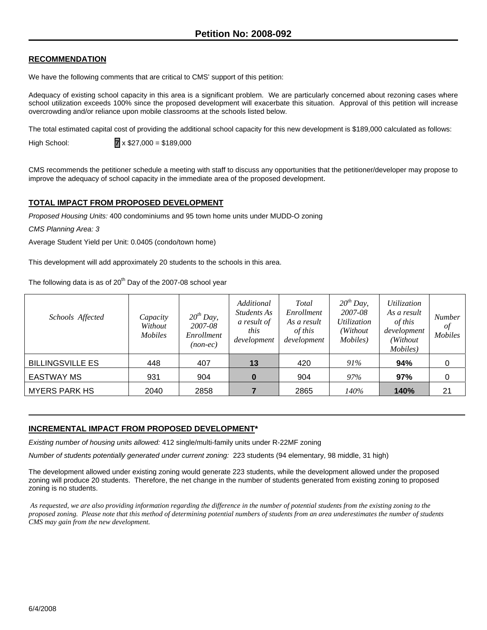# **RECOMMENDATION**

We have the following comments that are critical to CMS' support of this petition:

Adequacy of existing school capacity in this area is a significant problem. We are particularly concerned about rezoning cases where school utilization exceeds 100% since the proposed development will exacerbate this situation. Approval of this petition will increase overcrowding and/or reliance upon mobile classrooms at the schools listed below.

The total estimated capital cost of providing the additional school capacity for this new development is \$189,000 calculated as follows:

High School: **7** x \$27,000 = \$189,000

CMS recommends the petitioner schedule a meeting with staff to discuss any opportunities that the petitioner/developer may propose to improve the adequacy of school capacity in the immediate area of the proposed development.

#### **TOTAL IMPACT FROM PROPOSED DEVELOPMENT**

*Proposed Housing Units:* 400 condominiums and 95 town home units under MUDD-O zoning

*CMS Planning Area: 3* 

Average Student Yield per Unit: 0.0405 (condo/town home)

This development will add approximately 20 students to the schools in this area.

The following data is as of  $20<sup>th</sup>$  Day of the 2007-08 school year

| Schools Affected        | Capacity<br>Without<br><i>Mobiles</i> | $20^{th}$ Day,<br>2007-08<br>Enrollment<br>$(non-ec)$ | Additional<br><i>Students As</i><br>a result of<br>this<br>development | Total<br>Enrollment<br>As a result<br>of this<br>development | $20^{th}$ Day,<br>2007-08<br>Utilization<br>(Without)<br><i>Mobiles</i> ) | Utilization<br>As a result<br>of this<br>development<br>(Without)<br>Mobiles) | <b>Number</b><br>of<br><b>Mobiles</b> |
|-------------------------|---------------------------------------|-------------------------------------------------------|------------------------------------------------------------------------|--------------------------------------------------------------|---------------------------------------------------------------------------|-------------------------------------------------------------------------------|---------------------------------------|
| <b>BILLINGSVILLE ES</b> | 448                                   | 407                                                   | 13                                                                     | 420                                                          | 91%                                                                       | 94%                                                                           | 0                                     |
| <b>EASTWAY MS</b>       | 931                                   | 904                                                   |                                                                        | 904                                                          | 97%                                                                       | 97%                                                                           | 0                                     |
| <b>MYERS PARK HS</b>    | 2040                                  | 2858                                                  |                                                                        | 2865                                                         | 140%                                                                      | 140%                                                                          | 21                                    |

# **INCREMENTAL IMPACT FROM PROPOSED DEVELOPMENT\***

*Existing number of housing units allowed:* 412 single/multi-family units under R-22MF zoning

*Number of students potentially generated under current zoning:* 223 students (94 elementary, 98 middle, 31 high)

The development allowed under existing zoning would generate 223 students, while the development allowed under the proposed zoning will produce 20 students. Therefore, the net change in the number of students generated from existing zoning to proposed zoning is no students.

 *As requested, we are also providing information regarding the difference in the number of potential students from the existing zoning to the proposed zoning. Please note that this method of determining potential numbers of students from an area underestimates the number of students CMS may gain from the new development.*